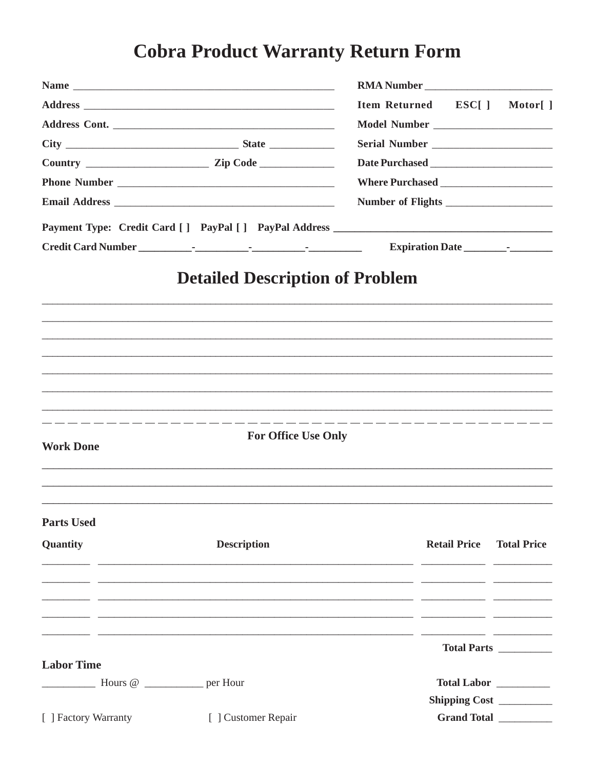## **Cobra Product Warranty Return Form**

| Item Returned ESC[]<br><b>Detailed Description of Problem</b><br><b>For Office Use Only</b><br><b>Work Done</b><br><b>Parts Used</b><br><b>Description</b><br><b>Retail Price</b><br>Quantity<br><u> 1989 - Johann Harry Harry Harry Harry Harry Harry Harry Harry Harry Harry Harry Harry Harry Harry Harry Harry</u><br>Total Parts __________<br><b>Labor Time</b><br>$\frac{1}{2}$ Hours @ ___________ per Hour<br>Total Labor _________<br>Shipping Cost<br>[ ] Factory Warranty [ ] Customer Repair<br>Grand Total |  |  |  |                    |  |
|--------------------------------------------------------------------------------------------------------------------------------------------------------------------------------------------------------------------------------------------------------------------------------------------------------------------------------------------------------------------------------------------------------------------------------------------------------------------------------------------------------------------------|--|--|--|--------------------|--|
|                                                                                                                                                                                                                                                                                                                                                                                                                                                                                                                          |  |  |  | Motor[]            |  |
|                                                                                                                                                                                                                                                                                                                                                                                                                                                                                                                          |  |  |  |                    |  |
|                                                                                                                                                                                                                                                                                                                                                                                                                                                                                                                          |  |  |  |                    |  |
|                                                                                                                                                                                                                                                                                                                                                                                                                                                                                                                          |  |  |  |                    |  |
|                                                                                                                                                                                                                                                                                                                                                                                                                                                                                                                          |  |  |  |                    |  |
|                                                                                                                                                                                                                                                                                                                                                                                                                                                                                                                          |  |  |  |                    |  |
|                                                                                                                                                                                                                                                                                                                                                                                                                                                                                                                          |  |  |  |                    |  |
|                                                                                                                                                                                                                                                                                                                                                                                                                                                                                                                          |  |  |  |                    |  |
|                                                                                                                                                                                                                                                                                                                                                                                                                                                                                                                          |  |  |  |                    |  |
|                                                                                                                                                                                                                                                                                                                                                                                                                                                                                                                          |  |  |  |                    |  |
|                                                                                                                                                                                                                                                                                                                                                                                                                                                                                                                          |  |  |  |                    |  |
|                                                                                                                                                                                                                                                                                                                                                                                                                                                                                                                          |  |  |  | <b>Total Price</b> |  |
|                                                                                                                                                                                                                                                                                                                                                                                                                                                                                                                          |  |  |  |                    |  |
|                                                                                                                                                                                                                                                                                                                                                                                                                                                                                                                          |  |  |  |                    |  |
|                                                                                                                                                                                                                                                                                                                                                                                                                                                                                                                          |  |  |  |                    |  |
|                                                                                                                                                                                                                                                                                                                                                                                                                                                                                                                          |  |  |  |                    |  |
|                                                                                                                                                                                                                                                                                                                                                                                                                                                                                                                          |  |  |  |                    |  |